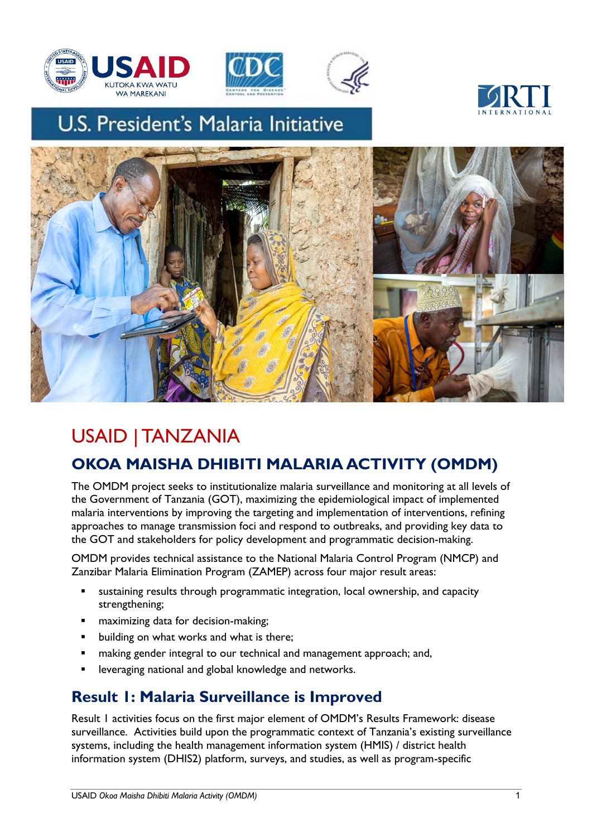





# U.S. President's Malaria Initiative





## USAID | TANZANIA

## **OKOA MAISHA DHIBITI MALARIA ACTIVITY (OMDM)**

The OMDM project seeks to institutionalize malaria surveillance and monitoring at all levels of the Government of Tanzania (GOT), maximizing the epidemiological impact of implemented malaria interventions by improving the targeting and implementation of interventions, refining approaches to manage transmission foci and respond to outbreaks, and providing key data to the GOT and stakeholders for policy development and programmatic decision-making.

OMDM provides technical assistance to the National Malaria Control Program (NMCP) and Zanzibar Malaria Elimination Program (ZAMEP) across four major result areas:

- § sustaining results through programmatic integration, local ownership, and capacity strengthening;
- § maximizing data for decision-making;
- building on what works and what is there;
- **•** making gender integral to our technical and management approach; and,
- leveraging national and global knowledge and networks.

### **Result 1: Malaria Surveillance is Improved**

Result 1 activities focus on the first major element of OMDM's Results Framework: disease surveillance. Activities build upon the programmatic context of Tanzania's existing surveillance systems, including the health management information system (HMIS) / district health information system (DHIS2) platform, surveys, and studies, as well as program-specific